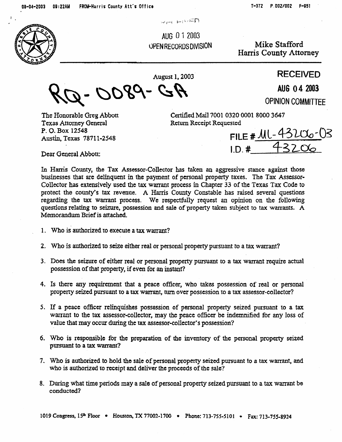$\pi$ 

AUG 0 1 2003 OPEN RECORDS DIVISION

Mike Stafford Harris County Attorney

**August 1,2003 RECEIVED** 

DO89- GA

**OPINION COMMITTEE** 

The Honorable Greg Abbott Certified Mail 7001 0320 0001 8000 3647 Texas Attorney General Return Receipt Requested **P. 0. Box 12548 Austin,** Texas 7871 l-2548

FILE #  $11 - 43206 - 03$ Dear General Abbott: **I.D. # 43206** 

AU6 04 2003

Ln Hamis County, the Tax Assessor-Collector has taken an aggressive stance against those businesses that are delinquent in the payment of personal property faxes. The Tax Assessor-Collector has extensively used the tax warrant process in Chapter **33** of the Texas Tax Code to prorect the county's tax revenue. A Harris County Constable has raised several questions regarding the tax warrant process. We respectfully request an opinion on the following questions relating to seizure, possession and sale of property taken subject to tax wamms. **A**  Memorandum Brief is attached.

- . 1. Who **is** authorized to execute a tax warrant?
	- **2.**  Who is authorized 10 seize either real or personal property pursuant to a tax warrant?
	- **3.**  Does the seizure of either real or personal property pursuant to a tax warrant require actual possession of that property, if even for an instant?
	- **4.**  Is there any requirement that a peace officer, who takes possession of real or personal property seized pursuant to a tax warrant, turn over possession to a tax assessor-collector?
	- **5.**  If 3 peace officer relinquishes possession of personal property seized pursuant to a tax warrant to the tax assessor-collector, may the peace officer be indemnified for any loss of value that may occur during the tax assessor-collector's possession?
	- 6. Who is responsible for the preparation of the inventory of the personal property seized pursuant to a tax warrant?
	- 7. Who is authorized to hold the sale of personal property seized **pursuant to a tax** wanant, and who is authorized to receipt and deliver the proceeds of the sale?
	- 8. During what time periods may a sale of personal property seized pursuant to a tax warrant be **conducted?**